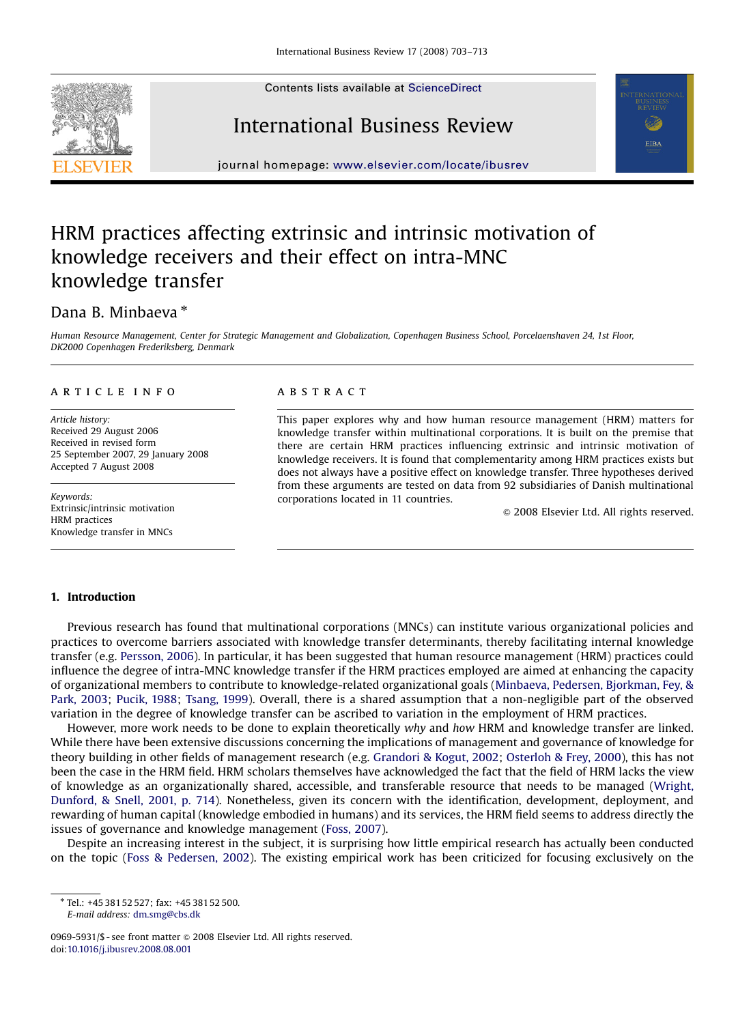Contents lists available at [ScienceDirect](www.sciencedirect.com/science/journal/ibr)

# International Business Review



journal homepage: <www.elsevier.com/locate/ibusrev>

## HRM practices affecting extrinsic and intrinsic motivation of knowledge receivers and their effect on intra-MNC knowledge transfer

### Dana B. Minbaeva  $^*$

Human Resource Management, Center for Strategic Management and Globalization, Copenhagen Business School, Porcelaenshaven 24, 1st Floor, DK2000 Copenhagen Frederiksberg, Denmark

### article info

Article history: Received 29 August 2006 Received in revised form 25 September 2007, 29 January 2008 Accepted 7 August 2008

Keywords: Extrinsic/intrinsic motivation HRM practices Knowledge transfer in MNCs

### ABSTRACT

This paper explores why and how human resource management (HRM) matters for knowledge transfer within multinational corporations. It is built on the premise that there are certain HRM practices influencing extrinsic and intrinsic motivation of knowledge receivers. It is found that complementarity among HRM practices exists but does not always have a positive effect on knowledge transfer. Three hypotheses derived from these arguments are tested on data from 92 subsidiaries of Danish multinational corporations located in 11 countries.

 $\odot$  2008 Elsevier Ltd. All rights reserved.

#### 1. Introduction

Previous research has found that multinational corporations (MNCs) can institute various organizational policies and practices to overcome barriers associated with knowledge transfer determinants, thereby facilitating internal knowledge transfer (e.g. [Persson, 2006](#page--1-0)). In particular, it has been suggested that human resource management (HRM) practices could influence the degree of intra-MNC knowledge transfer if the HRM practices employed are aimed at enhancing the capacity of organizational members to contribute to knowledge-related organizational goals [\(Minbaeva, Pedersen, Bjorkman, Fey,](#page--1-0) & [Park, 2003](#page--1-0); [Pucik, 1988;](#page--1-0) [Tsang, 1999](#page--1-0)). Overall, there is a shared assumption that a non-negligible part of the observed variation in the degree of knowledge transfer can be ascribed to variation in the employment of HRM practices.

However, more work needs to be done to explain theoretically why and how HRM and knowledge transfer are linked. While there have been extensive discussions concerning the implications of management and governance of knowledge for theory building in other fields of management research (e.g. [Grandori](#page--1-0) & [Kogut, 2002;](#page--1-0) [Osterloh](#page--1-0) [& Frey, 2000](#page--1-0)), this has not been the case in the HRM field. HRM scholars themselves have acknowledged the fact that the field of HRM lacks the view of knowledge as an organizationally shared, accessible, and transferable resource that needs to be managed [\(Wright,](#page--1-0) [Dunford, & Snell, 2001, p. 714\)](#page--1-0). Nonetheless, given its concern with the identification, development, deployment, and rewarding of human capital (knowledge embodied in humans) and its services, the HRM field seems to address directly the issues of governance and knowledge management [\(Foss, 2007\)](#page--1-0).

Despite an increasing interest in the subject, it is surprising how little empirical research has actually been conducted on the topic [\(Foss](#page--1-0) & [Pedersen, 2002](#page--1-0)). The existing empirical work has been criticized for focusing exclusively on the

- Tel.: +45 38152 527; fax: +45 38152 500.

E-mail address: [dm.smg@cbs.dk](mailto:dm.smg@cbs.dk)

<sup>0969-5931/\$ -</sup> see front matter  $\circ$  2008 Elsevier Ltd. All rights reserved. doi:[10.1016/j.ibusrev.2008.08.001](dx.doi.org/10.1016/j.ibusrev.2008.08.001)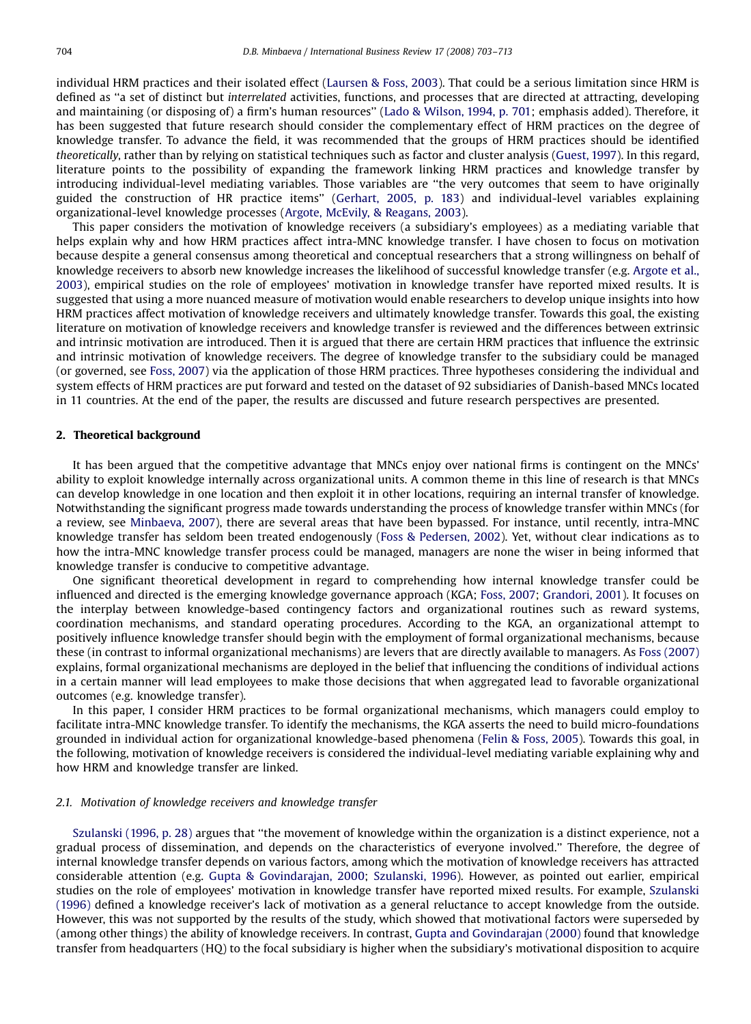individual HRM practices and their isolated effect [\(Laursen](#page--1-0) [& Foss, 2003\)](#page--1-0). That could be a serious limitation since HRM is defined as ''a set of distinct but interrelated activities, functions, and processes that are directed at attracting, developing and maintaining (or disposing of) a firm's human resources'' ([Lado](#page--1-0) [& Wilson, 1994, p. 701](#page--1-0); emphasis added). Therefore, it has been suggested that future research should consider the complementary effect of HRM practices on the degree of knowledge transfer. To advance the field, it was recommended that the groups of HRM practices should be identified theoretically, rather than by relying on statistical techniques such as factor and cluster analysis [\(Guest, 1997](#page--1-0)). In this regard, literature points to the possibility of expanding the framework linking HRM practices and knowledge transfer by introducing individual-level mediating variables. Those variables are ''the very outcomes that seem to have originally guided the construction of HR practice items'' ([Gerhart, 2005, p. 183](#page--1-0)) and individual-level variables explaining organizational-level knowledge processes ([Argote, McEvily, & Reagans, 2003\)](#page--1-0).

This paper considers the motivation of knowledge receivers (a subsidiary's employees) as a mediating variable that helps explain why and how HRM practices affect intra-MNC knowledge transfer. I have chosen to focus on motivation because despite a general consensus among theoretical and conceptual researchers that a strong willingness on behalf of knowledge receivers to absorb new knowledge increases the likelihood of successful knowledge transfer (e.g. [Argote et al.,](#page--1-0) [2003](#page--1-0)), empirical studies on the role of employees' motivation in knowledge transfer have reported mixed results. It is suggested that using a more nuanced measure of motivation would enable researchers to develop unique insights into how HRM practices affect motivation of knowledge receivers and ultimately knowledge transfer. Towards this goal, the existing literature on motivation of knowledge receivers and knowledge transfer is reviewed and the differences between extrinsic and intrinsic motivation are introduced. Then it is argued that there are certain HRM practices that influence the extrinsic and intrinsic motivation of knowledge receivers. The degree of knowledge transfer to the subsidiary could be managed (or governed, see [Foss, 2007\)](#page--1-0) via the application of those HRM practices. Three hypotheses considering the individual and system effects of HRM practices are put forward and tested on the dataset of 92 subsidiaries of Danish-based MNCs located in 11 countries. At the end of the paper, the results are discussed and future research perspectives are presented.

#### 2. Theoretical background

It has been argued that the competitive advantage that MNCs enjoy over national firms is contingent on the MNCs' ability to exploit knowledge internally across organizational units. A common theme in this line of research is that MNCs can develop knowledge in one location and then exploit it in other locations, requiring an internal transfer of knowledge. Notwithstanding the significant progress made towards understanding the process of knowledge transfer within MNCs (for a review, see [Minbaeva, 2007](#page--1-0)), there are several areas that have been bypassed. For instance, until recently, intra-MNC knowledge transfer has seldom been treated endogenously [\(Foss](#page--1-0) [& Pedersen, 2002](#page--1-0)). Yet, without clear indications as to how the intra-MNC knowledge transfer process could be managed, managers are none the wiser in being informed that knowledge transfer is conducive to competitive advantage.

One significant theoretical development in regard to comprehending how internal knowledge transfer could be influenced and directed is the emerging knowledge governance approach (KGA; [Foss, 2007](#page--1-0); [Grandori, 2001](#page--1-0)). It focuses on the interplay between knowledge-based contingency factors and organizational routines such as reward systems, coordination mechanisms, and standard operating procedures. According to the KGA, an organizational attempt to positively influence knowledge transfer should begin with the employment of formal organizational mechanisms, because these (in contrast to informal organizational mechanisms) are levers that are directly available to managers. As [Foss \(2007\)](#page--1-0) explains, formal organizational mechanisms are deployed in the belief that influencing the conditions of individual actions in a certain manner will lead employees to make those decisions that when aggregated lead to favorable organizational outcomes (e.g. knowledge transfer).

In this paper, I consider HRM practices to be formal organizational mechanisms, which managers could employ to facilitate intra-MNC knowledge transfer. To identify the mechanisms, the KGA asserts the need to build micro-foundations grounded in individual action for organizational knowledge-based phenomena ([Felin & Foss, 2005\)](#page--1-0). Towards this goal, in the following, motivation of knowledge receivers is considered the individual-level mediating variable explaining why and how HRM and knowledge transfer are linked.

#### 2.1. Motivation of knowledge receivers and knowledge transfer

[Szulanski \(1996, p. 28\)](#page--1-0) argues that ''the movement of knowledge within the organization is a distinct experience, not a gradual process of dissemination, and depends on the characteristics of everyone involved.'' Therefore, the degree of internal knowledge transfer depends on various factors, among which the motivation of knowledge receivers has attracted considerable attention (e.g. [Gupta & Govindarajan, 2000](#page--1-0); [Szulanski, 1996](#page--1-0)). However, as pointed out earlier, empirical studies on the role of employees' motivation in knowledge transfer have reported mixed results. For example, [Szulanski](#page--1-0) [\(1996\)](#page--1-0) defined a knowledge receiver's lack of motivation as a general reluctance to accept knowledge from the outside. However, this was not supported by the results of the study, which showed that motivational factors were superseded by (among other things) the ability of knowledge receivers. In contrast, [Gupta and Govindarajan \(2000\)](#page--1-0) found that knowledge transfer from headquarters (HQ) to the focal subsidiary is higher when the subsidiary's motivational disposition to acquire